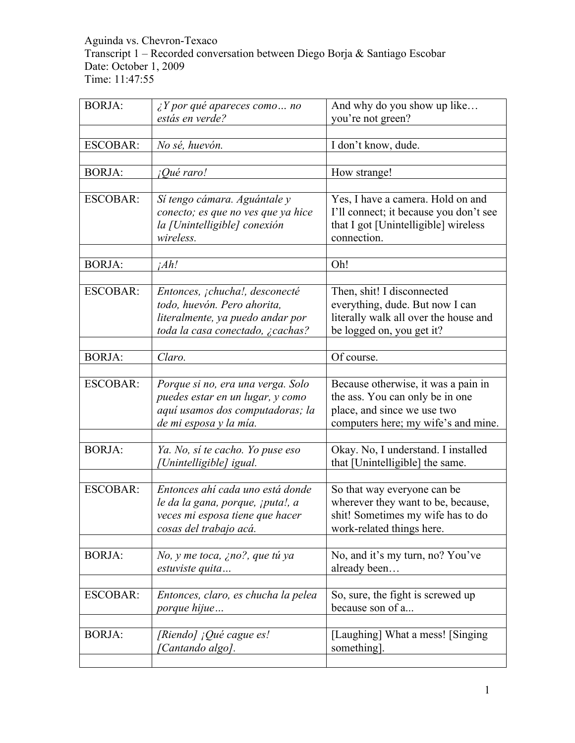## Aguinda vs. Chevron-Texaco Transcript 1 – Recorded conversation between Diego Borja & Santiago Escobar Date: October 1, 2009 Time: 11:47:55

| <b>BORJA:</b>   | $\angle Y$ por qué apareces como  no<br>estás en verde?                                                                               | And why do you show up like<br>you're not green?                                                                                    |
|-----------------|---------------------------------------------------------------------------------------------------------------------------------------|-------------------------------------------------------------------------------------------------------------------------------------|
|                 |                                                                                                                                       |                                                                                                                                     |
| <b>ESCOBAR:</b> | No sé, huevón.                                                                                                                        | I don't know, dude.                                                                                                                 |
|                 |                                                                                                                                       |                                                                                                                                     |
| <b>BORJA:</b>   | <i>iQué raro!</i>                                                                                                                     | How strange!                                                                                                                        |
|                 |                                                                                                                                       |                                                                                                                                     |
| <b>ESCOBAR:</b> | Sí tengo cámara. Aguántale y<br>conecto; es que no ves que ya hice<br>la [Unintelligible] conexión<br>wireless.                       | Yes, I have a camera. Hold on and<br>I'll connect; it because you don't see<br>that I got [Unintelligible] wireless<br>connection.  |
|                 |                                                                                                                                       |                                                                                                                                     |
| <b>BORJA:</b>   | iAh!                                                                                                                                  | Oh!                                                                                                                                 |
|                 |                                                                                                                                       |                                                                                                                                     |
| <b>ESCOBAR:</b> | Entonces, ¡chucha!, desconecté<br>todo, huevón. Pero ahorita,<br>literalmente, ya puedo andar por<br>toda la casa conectado, ¿cachas? | Then, shit! I disconnected<br>everything, dude. But now I can<br>literally walk all over the house and<br>be logged on, you get it? |
|                 |                                                                                                                                       |                                                                                                                                     |
| <b>BORJA:</b>   | Claro.                                                                                                                                | Of course.                                                                                                                          |
| <b>ESCOBAR:</b> | Porque si no, era una verga. Solo<br>puedes estar en un lugar, y como<br>aquí usamos dos computadoras; la                             | Because otherwise, it was a pain in<br>the ass. You can only be in one<br>place, and since we use two                               |
|                 | de mi esposa y la mía.                                                                                                                | computers here; my wife's and mine.                                                                                                 |
|                 |                                                                                                                                       |                                                                                                                                     |
| <b>BORJA:</b>   | Ya. No, sí te cacho. Yo puse eso<br>[Unintelligible] igual.                                                                           | Okay. No, I understand. I installed<br>that [Unintelligible] the same.                                                              |
|                 |                                                                                                                                       |                                                                                                                                     |
| <b>ESCOBAR:</b> | Entonces ahí cada uno está donde<br>le da la gana, porque, ¡puta!, a<br>veces mi esposa tiene que hacer<br>cosas del trabajo acá.     | So that way everyone can be<br>wherever they want to be, because,<br>shit! Sometimes my wife has to do<br>work-related things here. |
|                 |                                                                                                                                       |                                                                                                                                     |
| <b>BORJA:</b>   | No, y me toca, ¿no?, que tú ya<br>estuviste quita                                                                                     | No, and it's my turn, no? You've<br>already been                                                                                    |
|                 |                                                                                                                                       |                                                                                                                                     |
| <b>ESCOBAR:</b> | Entonces, claro, es chucha la pelea<br><i>porque hijue</i>                                                                            | So, sure, the fight is screwed up<br>because son of a                                                                               |
|                 |                                                                                                                                       |                                                                                                                                     |
| <b>BORJA:</b>   | [Riendo] ¡Qué cague es!<br>[Cantando algo].                                                                                           | [Laughing] What a mess! [Singing]<br>something.                                                                                     |
|                 |                                                                                                                                       |                                                                                                                                     |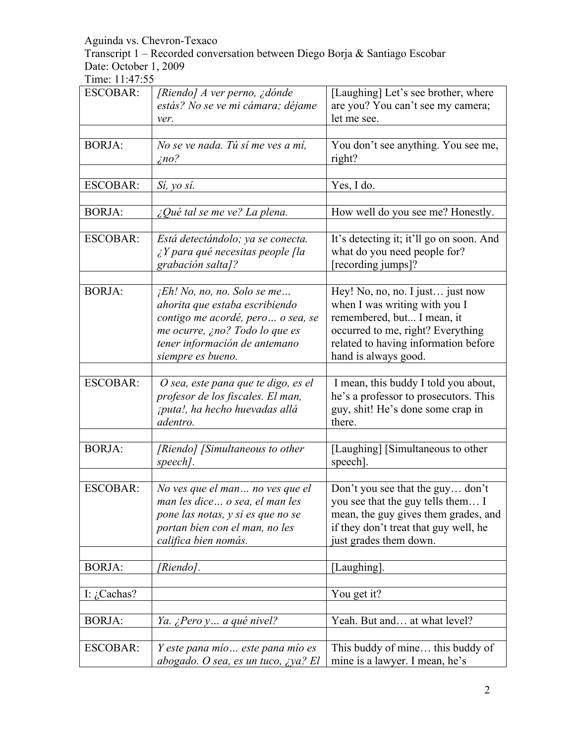Transcript 1 – Recorded conversation between Diego Borja & Santiago Escobar Date: October 1, 2009

| <b>ESCOBAR:</b> | [Riendo] A ver perno, ¿dónde                                                                                                                                     | [Laughing] Let's see brother, where                                                                                                                                              |
|-----------------|------------------------------------------------------------------------------------------------------------------------------------------------------------------|----------------------------------------------------------------------------------------------------------------------------------------------------------------------------------|
|                 | estás? No se ve mi cámara; déjame                                                                                                                                | are you? You can't see my camera;<br>let me see.                                                                                                                                 |
|                 | ver.                                                                                                                                                             |                                                                                                                                                                                  |
| <b>BORJA:</b>   | No se ve nada. Tú sí me ves a mí,<br>$\zeta$ no?                                                                                                                 | You don't see anything. You see me,<br>right?                                                                                                                                    |
| <b>ESCOBAR:</b> | Sí, yo sí.                                                                                                                                                       | Yes, I do.                                                                                                                                                                       |
|                 |                                                                                                                                                                  |                                                                                                                                                                                  |
| <b>BORJA:</b>   | $\lambda$ Qué tal se me ve? La plena.                                                                                                                            | How well do you see me? Honestly.                                                                                                                                                |
| <b>ESCOBAR:</b> | Está detectándolo; ya se conecta.<br>$\angle Y$ para qué necesitas people [la<br>grabación salta]?                                                               | It's detecting it; it'll go on soon. And<br>what do you need people for?<br>[recording jumps]?                                                                                   |
| <b>BORJA:</b>   | $jEh!$ No, no, no. Solo se me                                                                                                                                    | Hey! No, no, no. I just just now                                                                                                                                                 |
|                 | ahorita que estaba escribiendo<br>contigo me acordé, pero  o sea, se<br>me ocurre, ¿no? Todo lo que es<br>tener información de antemano<br>siempre es bueno.     | when I was writing with you I<br>remembered, but I mean, it<br>occurred to me, right? Everything<br>related to having information before<br>hand is always good.                 |
|                 |                                                                                                                                                                  |                                                                                                                                                                                  |
| <b>ESCOBAR:</b> | O sea, este pana que te digo, es el<br>profesor de los fiscales. El man,<br>¡puta!, ha hecho huevadas allá<br>adentro.                                           | I mean, this buddy I told you about,<br>he's a professor to prosecutors. This<br>guy, shit! He's done some crap in<br>there.                                                     |
|                 |                                                                                                                                                                  |                                                                                                                                                                                  |
| <b>BORJA:</b>   | [Riendo] [Simultaneous to other<br>speech].                                                                                                                      | [Laughing] [Simultaneous to other<br>speech].                                                                                                                                    |
|                 |                                                                                                                                                                  |                                                                                                                                                                                  |
| <b>ESCOBAR:</b> | No ves que el man no ves que el<br>man les dice o sea, el man les<br>pone las notas, y si es que no se<br>portan bien con el man, no les<br>califica bien nomás. | Don't you see that the guy don't<br>you see that the guy tells them I<br>mean, the guy gives them grades, and<br>if they don't treat that guy well, he<br>just grades them down. |
| <b>BORJA:</b>   | [Riendo].                                                                                                                                                        | [Laughing].                                                                                                                                                                      |
|                 |                                                                                                                                                                  |                                                                                                                                                                                  |
| I: $i$ Cachas?  |                                                                                                                                                                  | You get it?                                                                                                                                                                      |
| <b>BORJA:</b>   | Ya. ¿Pero y a qué nivel?                                                                                                                                         | Yeah. But and at what level?                                                                                                                                                     |
| <b>ESCOBAR:</b> | Y este pana mío este pana mío es<br>abogado. O sea, es un tuco, ¿ya? El                                                                                          | This buddy of mine this buddy of<br>mine is a lawyer. I mean, he's                                                                                                               |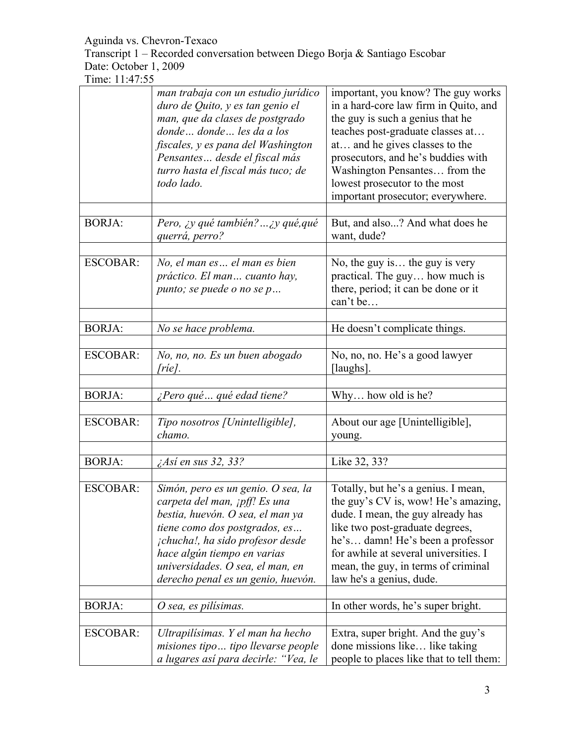Transcript 1 – Recorded conversation between Diego Borja & Santiago Escobar Date: October 1, 2009

|                 | man trabaja con un estudio jurídico<br>duro de Quito, y es tan genio el<br>man, que da clases de postgrado<br>donde donde les da a los<br>fiscales, y es pana del Washington<br>Pensantes desde el fiscal más<br>turro hasta el fiscal más tuco; de<br>todo lado.                     | important, you know? The guy works<br>in a hard-core law firm in Quito, and<br>the guy is such a genius that he<br>teaches post-graduate classes at<br>at and he gives classes to the<br>prosecutors, and he's buddies with<br>Washington Pensantes from the<br>lowest prosecutor to the most<br>important prosecutor; everywhere. |
|-----------------|---------------------------------------------------------------------------------------------------------------------------------------------------------------------------------------------------------------------------------------------------------------------------------------|------------------------------------------------------------------------------------------------------------------------------------------------------------------------------------------------------------------------------------------------------------------------------------------------------------------------------------|
| <b>BORJA:</b>   | Pero, ¿y qué también?  ¿y qué, qué<br>querrá, perro?                                                                                                                                                                                                                                  | But, and also? And what does he<br>want, dude?                                                                                                                                                                                                                                                                                     |
| <b>ESCOBAR:</b> | No, el man es el man es bien<br>práctico. El man cuanto hay,<br>punto; se puede o no se p                                                                                                                                                                                             | No, the guy is the guy is very<br>practical. The guy how much is<br>there, period; it can be done or it<br>can't be                                                                                                                                                                                                                |
| <b>BORJA:</b>   | No se hace problema.                                                                                                                                                                                                                                                                  | He doesn't complicate things.                                                                                                                                                                                                                                                                                                      |
| <b>ESCOBAR:</b> | No, no, no. Es un buen abogado<br>[ríe].                                                                                                                                                                                                                                              | No, no, no. He's a good lawyer<br>[laughs].                                                                                                                                                                                                                                                                                        |
| <b>BORJA:</b>   | ¿Pero qué  qué edad tiene?                                                                                                                                                                                                                                                            | Why how old is he?                                                                                                                                                                                                                                                                                                                 |
| <b>ESCOBAR:</b> | Tipo nosotros [Unintelligible],<br>chamo.                                                                                                                                                                                                                                             | About our age [Unintelligible],<br>young.                                                                                                                                                                                                                                                                                          |
| <b>BORJA:</b>   | ¿Así en sus 32, 33?                                                                                                                                                                                                                                                                   | Like 32, 33?                                                                                                                                                                                                                                                                                                                       |
| <b>ESCOBAR:</b> | Simón, pero es un genio. O sea, la<br>carpeta del man, ¡pff! Es una<br>bestia, huevón. O sea, el man ya<br>tiene como dos postgrados, es<br>¡chucha!, ha sido profesor desde<br>hace algún tiempo en varias<br>universidades. O sea, el man, en<br>derecho penal es un genio, huevón. | Totally, but he's a genius. I mean,<br>the guy's CV is, wow! He's amazing,<br>dude. I mean, the guy already has<br>like two post-graduate degrees,<br>he's damn! He's been a professor<br>for awhile at several universities. I<br>mean, the guy, in terms of criminal<br>law he's a genius, dude.                                 |
| <b>BORJA:</b>   | O sea, es pilísimas.                                                                                                                                                                                                                                                                  | In other words, he's super bright.                                                                                                                                                                                                                                                                                                 |
| <b>ESCOBAR:</b> | Ultrapilísimas. Y el man ha hecho<br>misiones tipo tipo llevarse people<br>a lugares así para decirle: "Vea, le                                                                                                                                                                       | Extra, super bright. And the guy's<br>done missions like like taking<br>people to places like that to tell them:                                                                                                                                                                                                                   |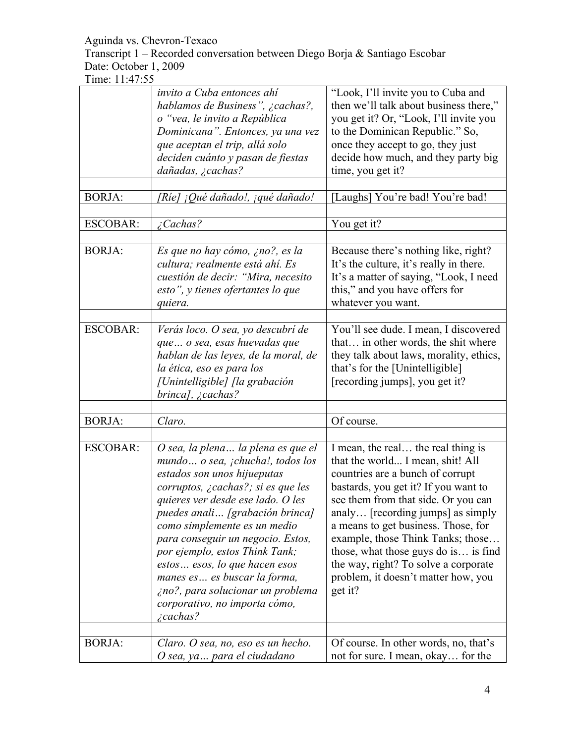Transcript 1 – Recorded conversation between Diego Borja & Santiago Escobar Date: October 1, 2009

| <b>BORJA:</b>   | invito a Cuba entonces ahí<br>hablamos de Business", ¿cachas?,<br>o "vea, le invito a República<br>Dominicana". Entonces, ya una vez<br>que aceptan el trip, allá solo<br>deciden cuánto y pasan de fiestas<br>dañadas, ¿cachas?<br>[Ríe] ¡Qué dañado!, ¡qué dañado!                                                                                                                                                                                                                          | "Look, I'll invite you to Cuba and<br>then we'll talk about business there,"<br>you get it? Or, "Look, I'll invite you<br>to the Dominican Republic." So,<br>once they accept to go, they just<br>decide how much, and they party big<br>time, you get it?<br>[Laughs] You're bad! You're bad!                                                                                                                                               |
|-----------------|-----------------------------------------------------------------------------------------------------------------------------------------------------------------------------------------------------------------------------------------------------------------------------------------------------------------------------------------------------------------------------------------------------------------------------------------------------------------------------------------------|----------------------------------------------------------------------------------------------------------------------------------------------------------------------------------------------------------------------------------------------------------------------------------------------------------------------------------------------------------------------------------------------------------------------------------------------|
| <b>ESCOBAR:</b> | Cachas?                                                                                                                                                                                                                                                                                                                                                                                                                                                                                       | You get it?                                                                                                                                                                                                                                                                                                                                                                                                                                  |
| <b>BORJA:</b>   | Es que no hay cómo, ¿no?, es la<br>cultura; realmente está ahí. Es<br>cuestión de decir: "Mira, necesito<br>esto", y tienes ofertantes lo que<br>quiera.                                                                                                                                                                                                                                                                                                                                      | Because there's nothing like, right?<br>It's the culture, it's really in there.<br>It's a matter of saying, "Look, I need<br>this," and you have offers for<br>whatever you want.                                                                                                                                                                                                                                                            |
| <b>ESCOBAR:</b> | Verás loco. O sea, yo descubrí de<br>que o sea, esas huevadas que<br>hablan de las leyes, de la moral, de<br>la ética, eso es para los<br>[Unintelligible] [la grabación<br>brinca], ¿cachas?                                                                                                                                                                                                                                                                                                 | You'll see dude. I mean, I discovered<br>that in other words, the shit where<br>they talk about laws, morality, ethics,<br>that's for the [Unintelligible]<br>[recording jumps], you get it?                                                                                                                                                                                                                                                 |
|                 |                                                                                                                                                                                                                                                                                                                                                                                                                                                                                               |                                                                                                                                                                                                                                                                                                                                                                                                                                              |
| <b>BORJA:</b>   | Claro.                                                                                                                                                                                                                                                                                                                                                                                                                                                                                        | Of course.                                                                                                                                                                                                                                                                                                                                                                                                                                   |
| <b>ESCOBAR:</b> | O sea, la plena la plena es que el<br>mundo o sea, <i>ichucha!</i> , todos los<br>estados son unos hijueputas<br>corruptos, ¿cachas?; si es que les<br>quieres ver desde ese lado. O les<br>puedes anali [grabación brinca]<br>como simplemente es un medio<br>para conseguir un negocio. Estos,<br>por ejemplo, estos Think Tank;<br>estos  esos, lo que hacen esos<br>manes es es buscar la forma,<br>¿no?, para solucionar un problema<br>corporativo, no importa cómo,<br>$\zeta$ cachas? | I mean, the real the real thing is<br>that the world I mean, shit! All<br>countries are a bunch of corrupt<br>bastards, you get it? If you want to<br>see them from that side. Or you can<br>analy [recording jumps] as simply<br>a means to get business. Those, for<br>example, those Think Tanks; those<br>those, what those guys do is is find<br>the way, right? To solve a corporate<br>problem, it doesn't matter how, you<br>get it? |
| <b>BORJA:</b>   | Claro. O sea, no, eso es un hecho.<br>O sea, ya  para el ciudadano                                                                                                                                                                                                                                                                                                                                                                                                                            | Of course. In other words, no, that's<br>not for sure. I mean, okay for the                                                                                                                                                                                                                                                                                                                                                                  |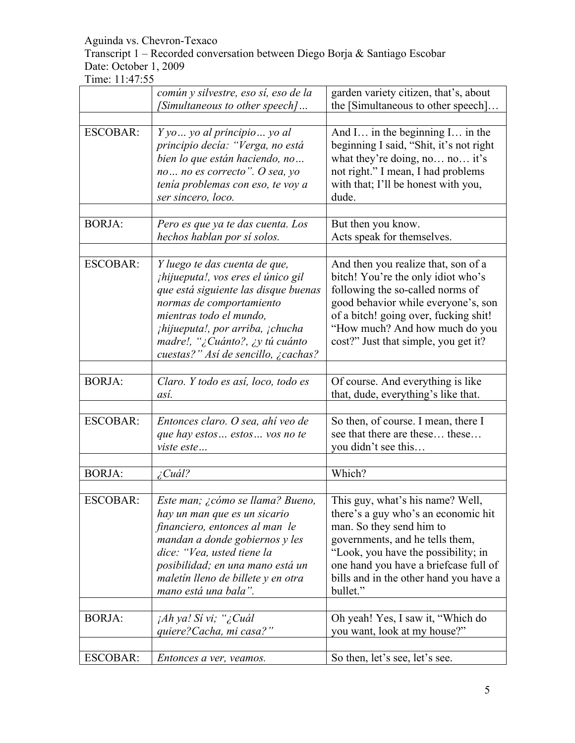Transcript 1 – Recorded conversation between Diego Borja & Santiago Escobar Date: October 1, 2009

|                 | común y silvestre, eso sí, eso de la<br>[Simultaneous to other speech]                                                                                                                                                                                                                  | garden variety citizen, that's, about<br>the [Simultaneous to other speech]                                                                                                                                                                                                  |
|-----------------|-----------------------------------------------------------------------------------------------------------------------------------------------------------------------------------------------------------------------------------------------------------------------------------------|------------------------------------------------------------------------------------------------------------------------------------------------------------------------------------------------------------------------------------------------------------------------------|
|                 |                                                                                                                                                                                                                                                                                         |                                                                                                                                                                                                                                                                              |
| <b>ESCOBAR:</b> | Y yo  yo al principio  yo al<br>principio decía: "Verga, no está<br>bien lo que están haciendo, no<br>no no es correcto". O sea, yo<br>tenía problemas con eso, te voy a<br>ser sincero, loco.                                                                                          | And I in the beginning I in the<br>beginning I said, "Shit, it's not right<br>what they're doing, no no it's<br>not right." I mean, I had problems<br>with that; I'll be honest with you,<br>dude.                                                                           |
| <b>BORJA:</b>   | Pero es que ya te das cuenta. Los                                                                                                                                                                                                                                                       | But then you know.                                                                                                                                                                                                                                                           |
|                 | hechos hablan por sí solos.                                                                                                                                                                                                                                                             | Acts speak for themselves.                                                                                                                                                                                                                                                   |
| <b>ESCOBAR:</b> | Y luego te das cuenta de que,<br><i>ihijueputa!, vos eres el único gil</i><br>que está siguiente las disque buenas<br>normas de comportamiento<br>mientras todo el mundo,<br>¡hijueputa!, por arriba, ¡chucha<br>madre!, "¿Cuánto?, ¿y tú cuánto<br>cuestas?" Así de sencillo, ¿cachas? | And then you realize that, son of a<br>bitch! You're the only idiot who's<br>following the so-called norms of<br>good behavior while everyone's, son<br>of a bitch! going over, fucking shit!<br>"How much? And how much do you<br>cost?" Just that simple, you get it?      |
| <b>BORJA:</b>   | Claro. Y todo es así, loco, todo es<br>así.                                                                                                                                                                                                                                             | Of course. And everything is like<br>that, dude, everything's like that.                                                                                                                                                                                                     |
| <b>ESCOBAR:</b> | Entonces claro. O sea, ahí veo de<br>que hay estos  estos  vos no te<br>viste este                                                                                                                                                                                                      | So then, of course. I mean, there I<br>see that there are these these<br>you didn't see this                                                                                                                                                                                 |
| <b>BORJA:</b>   | ¿Cuál?                                                                                                                                                                                                                                                                                  | Which?                                                                                                                                                                                                                                                                       |
| <b>ESCOBAR:</b> | Este man; ¿cómo se llama? Bueno,<br>hay un man que es un sicario<br>financiero, entonces al man le<br>mandan a donde gobiernos y les<br>dice: "Vea, usted tiene la<br>posibilidad; en una mano está un<br>maletín lleno de billete y en otra<br>mano está una bala".                    | This guy, what's his name? Well,<br>there's a guy who's an economic hit<br>man. So they send him to<br>governments, and he tells them,<br>"Look, you have the possibility; in<br>one hand you have a briefcase full of<br>bills and in the other hand you have a<br>bullet." |
| <b>BORJA:</b>   | ¡Ah ya! Si vi; "¿Cuál                                                                                                                                                                                                                                                                   | Oh yeah! Yes, I saw it, "Which do                                                                                                                                                                                                                                            |
|                 | quiere? Cacha, mi casa?"                                                                                                                                                                                                                                                                | you want, look at my house?"                                                                                                                                                                                                                                                 |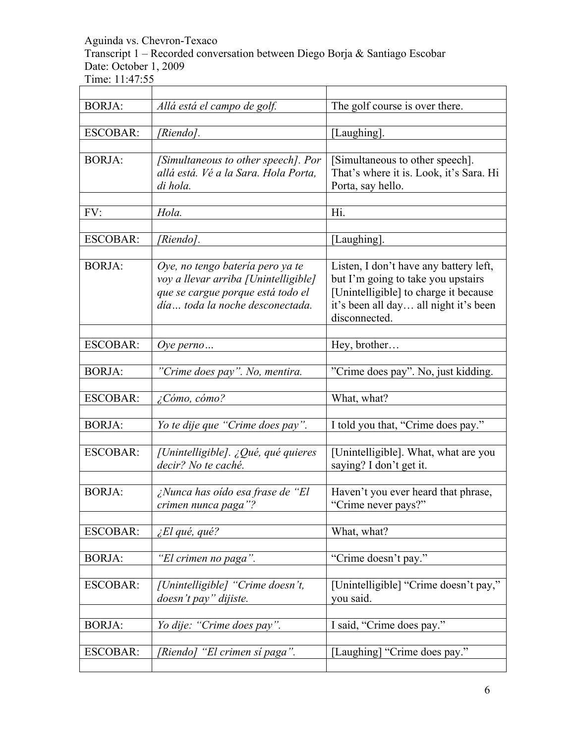Transcript 1 – Recorded conversation between Diego Borja & Santiago Escobar Date: October 1, 2009

Time: 11:47:55

| <b>BORJA:</b>   | Allá está el campo de golf.                                          | The golf course is over there.                                               |
|-----------------|----------------------------------------------------------------------|------------------------------------------------------------------------------|
|                 |                                                                      |                                                                              |
| <b>ESCOBAR:</b> | [Riendo].                                                            | [Laughing].                                                                  |
|                 |                                                                      |                                                                              |
| <b>BORJA:</b>   | [Simultaneous to other speech]. Por                                  | [Simultaneous to other speech].                                              |
|                 | allá está. Vé a la Sara. Hola Porta,                                 | That's where it is. Look, it's Sara. Hi                                      |
|                 | di hola.                                                             | Porta, say hello.                                                            |
|                 |                                                                      |                                                                              |
| FV:             | Hola.                                                                | Hi.                                                                          |
|                 |                                                                      |                                                                              |
| <b>ESCOBAR:</b> | [Riendo].                                                            | [Laughing].                                                                  |
|                 |                                                                      |                                                                              |
| <b>BORJA:</b>   | Oye, no tengo batería pero ya te                                     | Listen, I don't have any battery left,<br>but I'm going to take you upstairs |
|                 | voy a llevar arriba [Unintelligible]                                 |                                                                              |
|                 | que se cargue porque está todo el<br>día toda la noche desconectada. | [Unintelligible] to charge it because                                        |
|                 |                                                                      | it's been all day all night it's been<br>disconnected.                       |
|                 |                                                                      |                                                                              |
| <b>ESCOBAR:</b> | Oye perno $\ldots$                                                   | Hey, brother                                                                 |
|                 |                                                                      |                                                                              |
| <b>BORJA:</b>   | "Crime does pay". No, mentira.                                       | "Crime does pay". No, just kidding.                                          |
|                 |                                                                      |                                                                              |
| <b>ESCOBAR:</b> | ¿Cómo, cómo?                                                         | What, what?                                                                  |
|                 |                                                                      |                                                                              |
| <b>BORJA:</b>   | Yo te dije que "Crime does pay".                                     | I told you that, "Crime does pay."                                           |
|                 |                                                                      |                                                                              |
| <b>ESCOBAR:</b> | [Unintelligible]. ¿Qué, qué quieres                                  | [Unintelligible]. What, what are you                                         |
|                 | decir? No te caché.                                                  | saying? I don't get it.                                                      |
|                 |                                                                      |                                                                              |
| <b>BORJA:</b>   | ¿Nunca has oído esa frase de "El                                     | Haven't you ever heard that phrase,                                          |
|                 | crimen nunca paga"?                                                  | "Crime never pays?"                                                          |
|                 |                                                                      |                                                                              |
| <b>ESCOBAR:</b> | $\angle$ El qué, qué?                                                | What, what?                                                                  |
|                 |                                                                      |                                                                              |
| <b>BORJA:</b>   | "El crimen no paga".                                                 | "Crime doesn't pay."                                                         |
| <b>ESCOBAR:</b> | [Unintelligible] "Crime doesn't,                                     | [Unintelligible] "Crime doesn't pay,"                                        |
|                 |                                                                      |                                                                              |
|                 | doesn't pay" dijiste.                                                | you said.                                                                    |
| <b>BORJA:</b>   | Yo dije: "Crime does pay".                                           | I said, "Crime does pay."                                                    |
|                 |                                                                      |                                                                              |
| <b>ESCOBAR:</b> | [Riendo] "El crimen sí paga".                                        | [Laughing] "Crime does pay."                                                 |
|                 |                                                                      |                                                                              |
|                 |                                                                      |                                                                              |

 $\overline{\phantom{a}}$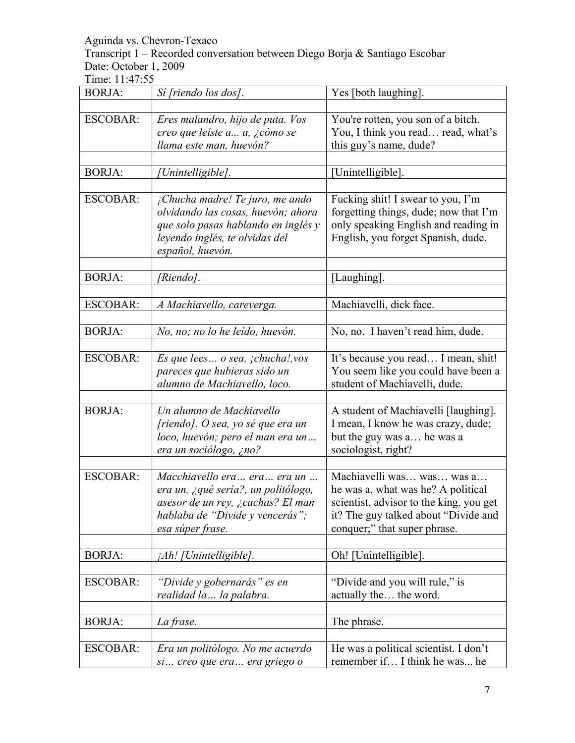Transcript 1 – Recorded conversation between Diego Borja & Santiago Escobar Date: October 1, 2009

| <b>BORJA:</b>   | Sí [riendo los dos].                                                                                                                                               | Yes [both laughing].                                                                                                                                                               |
|-----------------|--------------------------------------------------------------------------------------------------------------------------------------------------------------------|------------------------------------------------------------------------------------------------------------------------------------------------------------------------------------|
|                 |                                                                                                                                                                    |                                                                                                                                                                                    |
| <b>ESCOBAR:</b> | Eres malandro, hijo de puta. Vos<br>creo que leíste a a, ¿cómo se                                                                                                  | You're rotten, you son of a bitch.<br>You, I think you read read, what's                                                                                                           |
|                 | llama este man, huevón?                                                                                                                                            | this guy's name, dude?                                                                                                                                                             |
| <b>BORJA:</b>   | [Unintelligible].                                                                                                                                                  | [Unintelligible].                                                                                                                                                                  |
|                 |                                                                                                                                                                    |                                                                                                                                                                                    |
| <b>ESCOBAR:</b> | ¡Chucha madre! Te juro, me ando<br>olvidando las cosas, huevón; ahora<br>que solo pasas hablando en inglés y<br>leyendo inglés, te olvidas del<br>español, huevón. | Fucking shit! I swear to you, I'm<br>forgetting things, dude; now that I'm<br>only speaking English and reading in<br>English, you forget Spanish, dude.                           |
| <b>BORJA:</b>   | [Riendo].                                                                                                                                                          | [Laughing].                                                                                                                                                                        |
|                 |                                                                                                                                                                    |                                                                                                                                                                                    |
| <b>ESCOBAR:</b> | A Machiavello, careverga.                                                                                                                                          | Machiavelli, dick face.                                                                                                                                                            |
|                 |                                                                                                                                                                    |                                                                                                                                                                                    |
| <b>BORJA:</b>   | No, no; no lo he leído, huevón.                                                                                                                                    | No, no. I haven't read him, dude.                                                                                                                                                  |
| <b>ESCOBAR:</b> | Es que lees $o$ sea, $ichuchal, vos$<br>pareces que hubieras sido un<br>alumno de Machiavello, loco.                                                               | It's because you read I mean, shit!<br>You seem like you could have been a<br>student of Machiavelli, dude.                                                                        |
| <b>BORJA:</b>   | Un alumno de Machiavello<br>$[riendo]$ . O sea, yo sé que era un<br>loco, huevón; pero el man era un<br>era un sociólogo, ¿no?                                     | A student of Machiavelli [laughing].<br>I mean, I know he was crazy, dude;<br>but the guy was a he was a<br>sociologist, right?                                                    |
| <b>ESCOBAR:</b> | Macchiavello era  era  era un<br>era un, ¿qué sería?, un politólogo,<br>asesor de un rey, ¿cachas? El man<br>hablaba de "Divide y vencerás";<br>esa súper frase.   | Machiavelli was was was a<br>he was a, what was he? A political<br>scientist, advisor to the king, you get<br>it? The guy talked about "Divide and<br>conquer;" that super phrase. |
| <b>BORJA:</b>   | ¡Ah! [Unintelligible].                                                                                                                                             | Oh! [Unintelligible].                                                                                                                                                              |
|                 |                                                                                                                                                                    |                                                                                                                                                                                    |
| <b>ESCOBAR:</b> | "Divide y gobernarás" es en<br>realidad la  la palabra.                                                                                                            | "Divide and you will rule," is<br>actually the the word.                                                                                                                           |
| <b>BORJA:</b>   | La frase.                                                                                                                                                          | The phrase.                                                                                                                                                                        |
|                 |                                                                                                                                                                    |                                                                                                                                                                                    |
| <b>ESCOBAR:</b> | Era un politólogo. No me acuerdo<br>si  creo que era  era griego o                                                                                                 | He was a political scientist. I don't<br>remember if I think he was he                                                                                                             |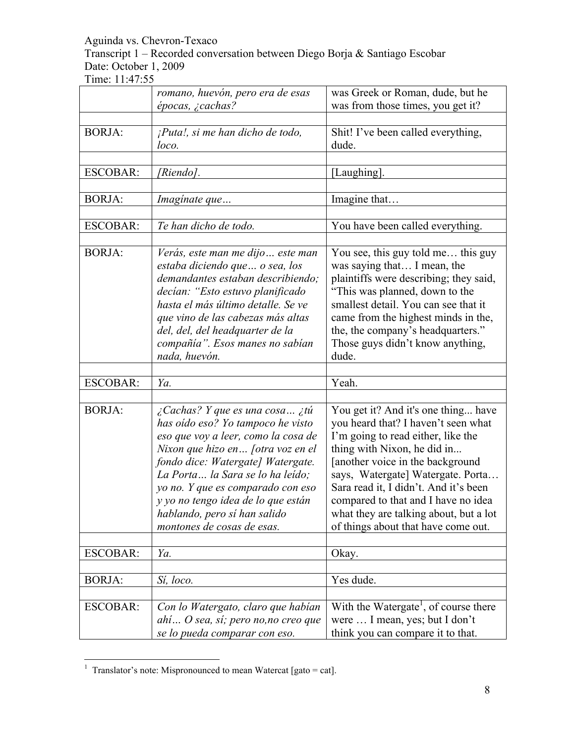Transcript 1 – Recorded conversation between Diego Borja & Santiago Escobar Date: October 1, 2009

Time: 11:47:55

|                 | romano, huevón, pero era de esas                                                                                                                                                                                                                                                                                                                                  | was Greek or Roman, dude, but he                                                                                                                                                                                                                                                                                                                                                           |
|-----------------|-------------------------------------------------------------------------------------------------------------------------------------------------------------------------------------------------------------------------------------------------------------------------------------------------------------------------------------------------------------------|--------------------------------------------------------------------------------------------------------------------------------------------------------------------------------------------------------------------------------------------------------------------------------------------------------------------------------------------------------------------------------------------|
|                 | épocas, ¿cachas?                                                                                                                                                                                                                                                                                                                                                  | was from those times, you get it?                                                                                                                                                                                                                                                                                                                                                          |
| <b>BORJA:</b>   | ¡Puta!, si me han dicho de todo,<br>loco.                                                                                                                                                                                                                                                                                                                         | Shit! I've been called everything,<br>dude.                                                                                                                                                                                                                                                                                                                                                |
| <b>ESCOBAR:</b> | [Riendo].                                                                                                                                                                                                                                                                                                                                                         | [Laughing].                                                                                                                                                                                                                                                                                                                                                                                |
| <b>BORJA:</b>   | Imaginate que                                                                                                                                                                                                                                                                                                                                                     | Imagine that                                                                                                                                                                                                                                                                                                                                                                               |
| <b>ESCOBAR:</b> | Te han dicho de todo.                                                                                                                                                                                                                                                                                                                                             | You have been called everything.                                                                                                                                                                                                                                                                                                                                                           |
|                 |                                                                                                                                                                                                                                                                                                                                                                   |                                                                                                                                                                                                                                                                                                                                                                                            |
| <b>BORJA:</b>   | Verás, este man me dijo este man<br>estaba diciendo que  o sea, los<br>demandantes estaban describiendo;<br>decían: "Esto estuvo planificado<br>hasta el más último detalle. Se ve<br>que vino de las cabezas más altas<br>del, del, del headquarter de la<br>compañía". Esos manes no sabían<br>nada, huevón.                                                    | You see, this guy told me this guy<br>was saying that I mean, the<br>plaintiffs were describing; they said,<br>"This was planned, down to the<br>smallest detail. You can see that it<br>came from the highest minds in the,<br>the, the company's headquarters."<br>Those guys didn't know anything,<br>dude.                                                                             |
|                 | Ya.                                                                                                                                                                                                                                                                                                                                                               | Yeah.                                                                                                                                                                                                                                                                                                                                                                                      |
| <b>ESCOBAR:</b> |                                                                                                                                                                                                                                                                                                                                                                   |                                                                                                                                                                                                                                                                                                                                                                                            |
| <b>BORJA:</b>   | ¿Cachas? Y que es una cosa ¿tú<br>has oído eso? Yo tampoco he visto<br>eso que voy a leer, como la cosa de<br>Nixon que hizo en [otra voz en el<br>fondo dice: Watergate] Watergate.<br>La Porta la Sara se lo ha leído;<br>yo no. Y que es comparado con eso<br>y yo no tengo idea de lo que están<br>hablando, pero sí han salido<br>montones de cosas de esas. | You get it? And it's one thing have<br>you heard that? I haven't seen what<br>I'm going to read either, like the<br>thing with Nixon, he did in<br>[another voice in the background]<br>says, Watergate] Watergate. Porta<br>Sara read it, I didn't. And it's been<br>compared to that and I have no idea<br>what they are talking about, but a lot<br>of things about that have come out. |
| <b>ESCOBAR:</b> | Ya.                                                                                                                                                                                                                                                                                                                                                               | Okay.                                                                                                                                                                                                                                                                                                                                                                                      |
| <b>BORJA:</b>   | Sí, loco.                                                                                                                                                                                                                                                                                                                                                         | Yes dude.                                                                                                                                                                                                                                                                                                                                                                                  |
| <b>ESCOBAR:</b> | Con lo Watergato, claro que habían<br>ahí O sea, sí; pero no,no creo que<br>se lo pueda comparar con eso.                                                                                                                                                                                                                                                         | With the Watergate <sup>1</sup> , of course there<br>were  I mean, yes; but I don't<br>think you can compare it to that.                                                                                                                                                                                                                                                                   |

 $\frac{1}{1}$  $\overline{1}$  Translator's note: Mispronounced to mean Watercat [gato = cat].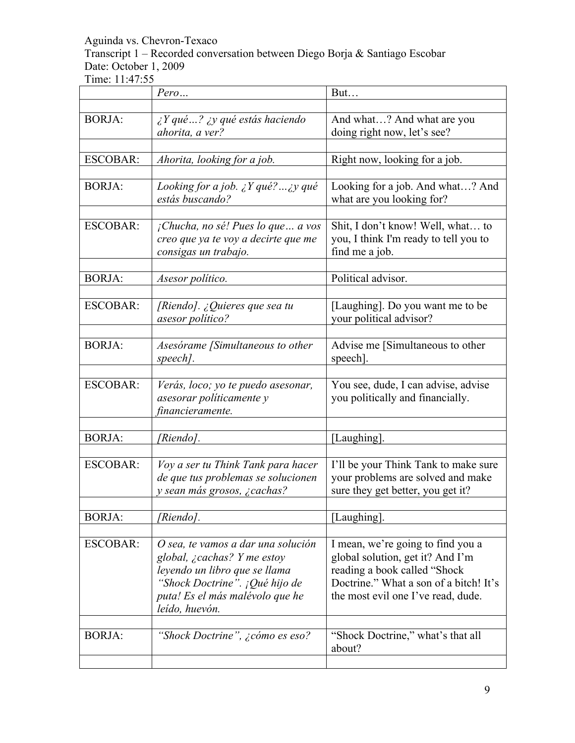Transcript 1 – Recorded conversation between Diego Borja & Santiago Escobar Date: October 1, 2009

|                 | Pero                                                                                                                                                                                      | But                                                                                                                                                                                    |
|-----------------|-------------------------------------------------------------------------------------------------------------------------------------------------------------------------------------------|----------------------------------------------------------------------------------------------------------------------------------------------------------------------------------------|
|                 |                                                                                                                                                                                           |                                                                                                                                                                                        |
| <b>BORJA:</b>   | $\lambda$ Y qué ? $\lambda$ y qué estás haciendo<br>ahorita, a ver?                                                                                                                       | And what? And what are you<br>doing right now, let's see?                                                                                                                              |
| <b>ESCOBAR:</b> | Ahorita, looking for a job.                                                                                                                                                               | Right now, looking for a job.                                                                                                                                                          |
| <b>BORJA:</b>   | Looking for a job. $\chi Y$ qué? $\chi y$ qué<br>estás buscando?                                                                                                                          | Looking for a job. And what? And<br>what are you looking for?                                                                                                                          |
| <b>ESCOBAR:</b> | $i$ Chucha, no sé! Pues lo que  a vos<br>creo que ya te voy a decirte que me<br>consigas un trabajo.                                                                                      | Shit, I don't know! Well, what to<br>you, I think I'm ready to tell you to<br>find me a job.                                                                                           |
| <b>BORJA:</b>   | Asesor político.                                                                                                                                                                          | Political advisor.                                                                                                                                                                     |
| <b>ESCOBAR:</b> | [Riendo]. ¿Quieres que sea tu<br>asesor político?                                                                                                                                         | [Laughing]. Do you want me to be<br>your political advisor?                                                                                                                            |
| <b>BORJA:</b>   | Asesórame [Simultaneous to other<br>speech].                                                                                                                                              | Advise me [Simultaneous to other<br>speech].                                                                                                                                           |
| <b>ESCOBAR:</b> | Verás, loco; yo te puedo asesonar,<br>asesorar políticamente y<br>financieramente.                                                                                                        | You see, dude, I can advise, advise<br>you politically and financially.                                                                                                                |
| <b>BORJA:</b>   | [Riendo].                                                                                                                                                                                 | [Laughing].                                                                                                                                                                            |
| <b>ESCOBAR:</b> | Voy a ser tu Think Tank para hacer<br>de que tus problemas se solucionen<br>y sean más grosos, ¿cachas?                                                                                   | I'll be your Think Tank to make sure<br>your problems are solved and make<br>sure they get better, you get it?                                                                         |
| <b>BORJA:</b>   | Riendo].                                                                                                                                                                                  | [Laughing].                                                                                                                                                                            |
| <b>ESCOBAR:</b> | O sea, te vamos a dar una solución<br>global, ¿cachas? Y me estoy<br>leyendo un libro que se llama<br>"Shock Doctrine". ¡Qué hijo de<br>puta! Es el más malévolo que he<br>leído, huevón. | I mean, we're going to find you a<br>global solution, get it? And I'm<br>reading a book called "Shock"<br>Doctrine." What a son of a bitch! It's<br>the most evil one I've read, dude. |
| <b>BORJA:</b>   | "Shock Doctrine", ¿cómo es eso?                                                                                                                                                           | "Shock Doctrine," what's that all<br>about?                                                                                                                                            |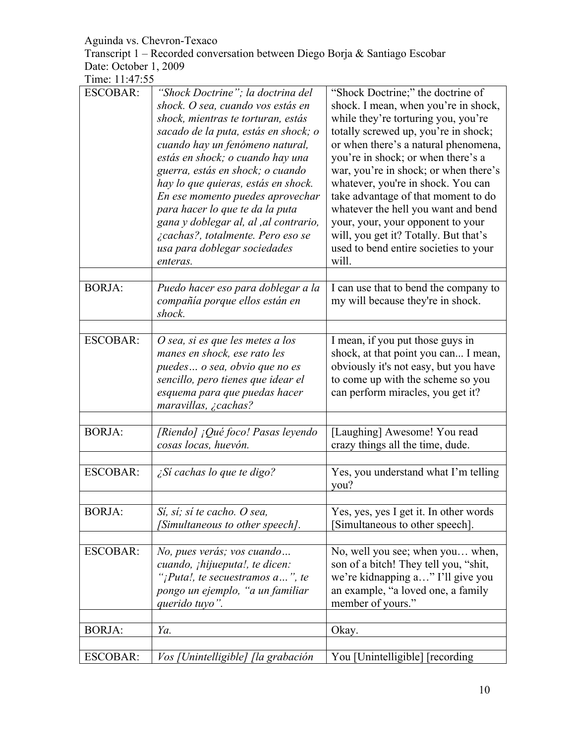Transcript 1 – Recorded conversation between Diego Borja & Santiago Escobar Date: October 1, 2009

| <b>ESCOBAR:</b> | "Shock Doctrine"; la doctrina del<br>shock. O sea, cuando vos estás en<br>shock, mientras te torturan, estás<br>sacado de la puta, estás en shock; o<br>cuando hay un fenómeno natural,<br>estás en shock; o cuando hay una<br>guerra, estás en shock; o cuando<br>hay lo que quieras, estás en shock.<br>En ese momento puedes aprovechar<br>para hacer lo que te da la puta<br>gana y doblegar al, al , al contrario,<br>¿cachas?, totalmente. Pero eso se<br>usa para doblegar sociedades<br>enteras. | "Shock Doctrine;" the doctrine of<br>shock. I mean, when you're in shock,<br>while they're torturing you, you're<br>totally screwed up, you're in shock;<br>or when there's a natural phenomena,<br>you're in shock; or when there's a<br>war, you're in shock; or when there's<br>whatever, you're in shock. You can<br>take advantage of that moment to do<br>whatever the hell you want and bend<br>your, your, your opponent to your<br>will, you get it? Totally. But that's<br>used to bend entire societies to your<br>will. |
|-----------------|----------------------------------------------------------------------------------------------------------------------------------------------------------------------------------------------------------------------------------------------------------------------------------------------------------------------------------------------------------------------------------------------------------------------------------------------------------------------------------------------------------|-------------------------------------------------------------------------------------------------------------------------------------------------------------------------------------------------------------------------------------------------------------------------------------------------------------------------------------------------------------------------------------------------------------------------------------------------------------------------------------------------------------------------------------|
|                 |                                                                                                                                                                                                                                                                                                                                                                                                                                                                                                          |                                                                                                                                                                                                                                                                                                                                                                                                                                                                                                                                     |
| <b>BORJA:</b>   | Puedo hacer eso para doblegar a la<br>compañía porque ellos están en<br>shock.                                                                                                                                                                                                                                                                                                                                                                                                                           | I can use that to bend the company to<br>my will because they're in shock.                                                                                                                                                                                                                                                                                                                                                                                                                                                          |
|                 |                                                                                                                                                                                                                                                                                                                                                                                                                                                                                                          |                                                                                                                                                                                                                                                                                                                                                                                                                                                                                                                                     |
| <b>ESCOBAR:</b> | O sea, si es que les metes a los<br>manes en shock, ese rato les<br>puedes o sea, obvio que no es<br>sencillo, pero tienes que idear el<br>esquema para que puedas hacer<br>maravillas, $\zeta$ cachas?                                                                                                                                                                                                                                                                                                  | I mean, if you put those guys in<br>shock, at that point you can I mean,<br>obviously it's not easy, but you have<br>to come up with the scheme so you<br>can perform miracles, you get it?                                                                                                                                                                                                                                                                                                                                         |
|                 |                                                                                                                                                                                                                                                                                                                                                                                                                                                                                                          |                                                                                                                                                                                                                                                                                                                                                                                                                                                                                                                                     |
| <b>BORJA:</b>   | [Riendo] ¡Qué foco! Pasas leyendo<br>cosas locas, huevón.                                                                                                                                                                                                                                                                                                                                                                                                                                                | [Laughing] Awesome! You read<br>crazy things all the time, dude.                                                                                                                                                                                                                                                                                                                                                                                                                                                                    |
| <b>ESCOBAR:</b> | ¿Sí cachas lo que te digo?                                                                                                                                                                                                                                                                                                                                                                                                                                                                               | Yes, you understand what I'm telling<br>you?                                                                                                                                                                                                                                                                                                                                                                                                                                                                                        |
|                 |                                                                                                                                                                                                                                                                                                                                                                                                                                                                                                          |                                                                                                                                                                                                                                                                                                                                                                                                                                                                                                                                     |
| <b>BORJA:</b>   | Sí, sí; sí te cacho. O sea,<br>[Simultaneous to other speech].                                                                                                                                                                                                                                                                                                                                                                                                                                           | Yes, yes, yes I get it. In other words<br>[Simultaneous to other speech].                                                                                                                                                                                                                                                                                                                                                                                                                                                           |
|                 |                                                                                                                                                                                                                                                                                                                                                                                                                                                                                                          |                                                                                                                                                                                                                                                                                                                                                                                                                                                                                                                                     |
| <b>ESCOBAR:</b> | No, pues verás; vos cuando<br>cuando, <i>ihijueputa!</i> , te dicen:<br>"¡Puta!, te secuestramos $a$ ", te<br>pongo un ejemplo, "a un familiar<br>querido tuyo".                                                                                                                                                                                                                                                                                                                                         | No, well you see; when you when,<br>son of a bitch! They tell you, "shit,<br>we're kidnapping a" I'll give you<br>an example, "a loved one, a family<br>member of yours."                                                                                                                                                                                                                                                                                                                                                           |
|                 |                                                                                                                                                                                                                                                                                                                                                                                                                                                                                                          |                                                                                                                                                                                                                                                                                                                                                                                                                                                                                                                                     |
| <b>BORJA:</b>   | Ya.                                                                                                                                                                                                                                                                                                                                                                                                                                                                                                      | Okay.                                                                                                                                                                                                                                                                                                                                                                                                                                                                                                                               |
|                 |                                                                                                                                                                                                                                                                                                                                                                                                                                                                                                          |                                                                                                                                                                                                                                                                                                                                                                                                                                                                                                                                     |
| <b>ESCOBAR:</b> | Vos [Unintelligible] [la grabación                                                                                                                                                                                                                                                                                                                                                                                                                                                                       | You [Unintelligible] [recording]                                                                                                                                                                                                                                                                                                                                                                                                                                                                                                    |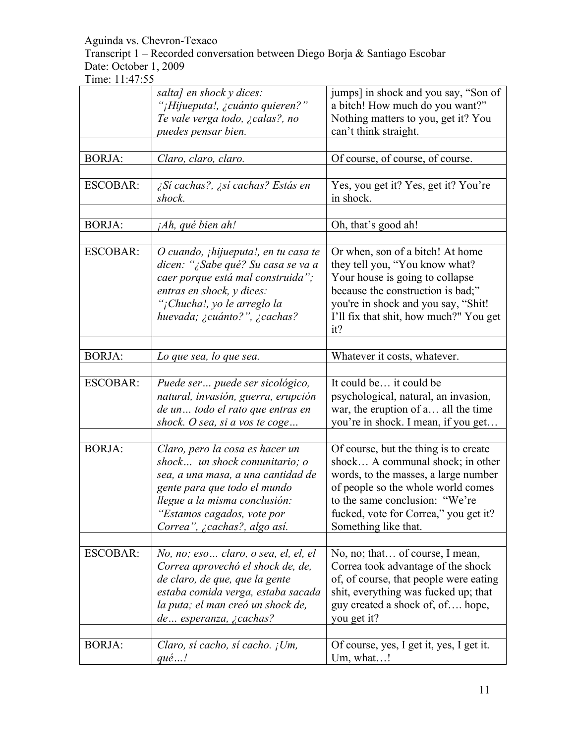Transcript 1 – Recorded conversation between Diego Borja & Santiago Escobar Date: October 1, 2009

|                 | salta] en shock y dices:                     | jumps] in shock and you say, "Son of     |
|-----------------|----------------------------------------------|------------------------------------------|
|                 | "¡Hijueputa!, ¿cuánto quieren?"              | a bitch! How much do you want?"          |
|                 | Te vale verga todo, ¿calas?, no              | Nothing matters to you, get it? You      |
|                 | puedes pensar bien.                          | can't think straight.                    |
|                 |                                              |                                          |
|                 |                                              |                                          |
| <b>BORJA:</b>   | Claro, claro, claro.                         | Of course, of course, of course.         |
|                 |                                              |                                          |
| <b>ESCOBAR:</b> | ¿Sí cachas?, ¿sí cachas? Estás en            | Yes, you get it? Yes, get it? You're     |
|                 | shock.                                       | in shock.                                |
|                 |                                              |                                          |
| <b>BORJA:</b>   | <i>jAh, qué bien ah!</i>                     | Oh, that's good ah!                      |
|                 |                                              |                                          |
| <b>ESCOBAR:</b> | O cuando, <i>ihijueputa!</i> , en tu casa te | Or when, son of a bitch! At home         |
|                 | dicen: "¿Sabe qué? Su casa se va a           | they tell you, "You know what?           |
|                 |                                              |                                          |
|                 | caer porque está mal construida";            | Your house is going to collapse          |
|                 | entras en shock, y dices:                    | because the construction is bad;"        |
|                 | "¡Chucha!, yo le arreglo la                  | you're in shock and you say, "Shit!      |
|                 | huevada; ¿cuánto?", ¿cachas?                 | I'll fix that shit, how much?" You get   |
|                 |                                              | it?                                      |
|                 |                                              |                                          |
| <b>BORJA:</b>   | Lo que sea, lo que sea.                      | Whatever it costs, whatever.             |
|                 |                                              |                                          |
| <b>ESCOBAR:</b> | Puede ser puede ser sicológico,              | It could be it could be                  |
|                 | natural, invasión, guerra, erupción          | psychological, natural, an invasion,     |
|                 |                                              |                                          |
|                 | de un todo el rato que entras en             | war, the eruption of a all the time      |
|                 | shock. O sea, si a vos te coge               | you're in shock. I mean, if you get      |
|                 |                                              |                                          |
| <b>BORJA:</b>   | Claro, pero la cosa es hacer un              | Of course, but the thing is to create    |
|                 | shock un shock comunitario; o                | shock A communal shock; in other         |
|                 | sea, a una masa, a una cantidad de           | words, to the masses, a large number     |
|                 | gente para que todo el mundo                 | of people so the whole world comes       |
|                 | llegue a la misma conclusión:                | to the same conclusion: "We're           |
|                 | "Estamos cagados, vote por                   | fucked, vote for Correa," you get it?    |
|                 | Correa", ¿cachas?, algo así.                 |                                          |
|                 |                                              | Something like that.                     |
|                 |                                              |                                          |
| <b>ESCOBAR:</b> | No, no; eso claro, o sea, el, el, el         | No, no; that of course, I mean,          |
|                 | Correa aprovechó el shock de, de,            | Correa took advantage of the shock       |
|                 | de claro, de que, que la gente               | of, of course, that people were eating   |
|                 | estaba comida verga, estaba sacada           | shit, everything was fucked up; that     |
|                 | la puta; el man creó un shock de,            | guy created a shock of, of hope,         |
|                 | de esperanza, ¿cachas?                       | you get it?                              |
|                 |                                              |                                          |
| <b>BORJA:</b>   | Claro, sí cacho, sí cacho. ¡Um,              | Of course, yes, I get it, yes, I get it. |
|                 | $qu\acute{e}$ !                              | Um, what!                                |
|                 |                                              |                                          |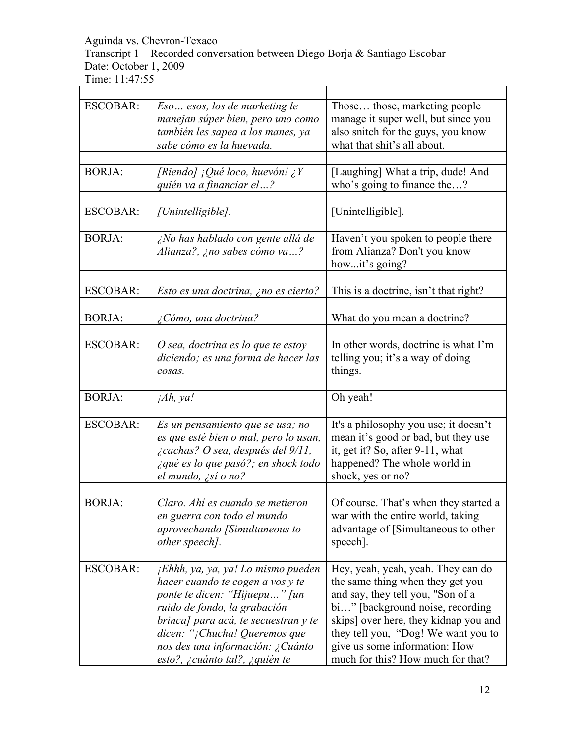Transcript 1 – Recorded conversation between Diego Borja & Santiago Escobar Date: October 1, 2009

| <b>ESCOBAR:</b> | Eso esos, los de marketing le<br>manejan súper bien, pero uno como<br>también les sapea a los manes, ya<br>sabe cómo es la huevada.                                                                                                                                                    | Those those, marketing people<br>manage it super well, but since you<br>also snitch for the guys, you know<br>what that shit's all about.                                                                                                                                                              |
|-----------------|----------------------------------------------------------------------------------------------------------------------------------------------------------------------------------------------------------------------------------------------------------------------------------------|--------------------------------------------------------------------------------------------------------------------------------------------------------------------------------------------------------------------------------------------------------------------------------------------------------|
|                 |                                                                                                                                                                                                                                                                                        |                                                                                                                                                                                                                                                                                                        |
| <b>BORJA:</b>   | [Riendo] ¡Qué loco, huevón! ¿Y<br>quién va a financiar el?                                                                                                                                                                                                                             | [Laughing] What a trip, dude! And<br>who's going to finance the?                                                                                                                                                                                                                                       |
|                 |                                                                                                                                                                                                                                                                                        |                                                                                                                                                                                                                                                                                                        |
| <b>ESCOBAR:</b> | [Unintelligible].                                                                                                                                                                                                                                                                      | [Unintelligible].                                                                                                                                                                                                                                                                                      |
|                 |                                                                                                                                                                                                                                                                                        |                                                                                                                                                                                                                                                                                                        |
| <b>BORJA:</b>   | ¿No has hablado con gente allá de<br>Alianza?, ¿no sabes cómo va?                                                                                                                                                                                                                      | Haven't you spoken to people there<br>from Alianza? Don't you know<br>howit's going?                                                                                                                                                                                                                   |
|                 |                                                                                                                                                                                                                                                                                        |                                                                                                                                                                                                                                                                                                        |
| <b>ESCOBAR:</b> | Esto es una doctrina, ¿no es cierto?                                                                                                                                                                                                                                                   | This is a doctrine, isn't that right?                                                                                                                                                                                                                                                                  |
|                 |                                                                                                                                                                                                                                                                                        |                                                                                                                                                                                                                                                                                                        |
| <b>BORJA:</b>   | ¿Cómo, una doctrina?                                                                                                                                                                                                                                                                   | What do you mean a doctrine?                                                                                                                                                                                                                                                                           |
|                 |                                                                                                                                                                                                                                                                                        |                                                                                                                                                                                                                                                                                                        |
| <b>ESCOBAR:</b> | $O$ sea, doctrina es lo que te estoy<br>diciendo; es una forma de hacer las<br>cosas.                                                                                                                                                                                                  | In other words, doctrine is what I'm<br>telling you; it's a way of doing<br>things.                                                                                                                                                                                                                    |
|                 |                                                                                                                                                                                                                                                                                        |                                                                                                                                                                                                                                                                                                        |
| <b>BORJA:</b>   | iAh, ya!                                                                                                                                                                                                                                                                               | Oh yeah!                                                                                                                                                                                                                                                                                               |
|                 |                                                                                                                                                                                                                                                                                        |                                                                                                                                                                                                                                                                                                        |
| <b>ESCOBAR:</b> | Es un pensamiento que se usa; no<br>es que esté bien o mal, pero lo usan,<br>¿cachas? O sea, después del 9/11,<br>¿qué es lo que pasó?; en shock todo<br>el mundo, ¿sí o no?                                                                                                           | It's a philosophy you use; it doesn't<br>mean it's good or bad, but they use<br>it, get it? So, after 9-11, what<br>happened? The whole world in<br>shock, yes or no?                                                                                                                                  |
|                 |                                                                                                                                                                                                                                                                                        |                                                                                                                                                                                                                                                                                                        |
| <b>BORJA:</b>   | Claro. Ahí es cuando se metieron<br>en guerra con todo el mundo<br>aprovechando [Simultaneous to<br>other speech].                                                                                                                                                                     | Of course. That's when they started a<br>war with the entire world, taking<br>advantage of [Simultaneous to other<br>speech].                                                                                                                                                                          |
|                 |                                                                                                                                                                                                                                                                                        |                                                                                                                                                                                                                                                                                                        |
| <b>ESCOBAR:</b> | jEhhh, ya, ya, ya! Lo mismo pueden<br>hacer cuando te cogen a vos y te<br>ponte te dicen: "Hijuepu" [un<br>ruido de fondo, la grabación<br>brinca] para acá, te secuestran y te<br>dicen: "¡Chucha! Queremos que<br>nos des una información: ¿Cuánto<br>esto?, ¿cuánto tal?, ¿quién te | Hey, yeah, yeah, yeah. They can do<br>the same thing when they get you<br>and say, they tell you, "Son of a<br>bi" [background noise, recording]<br>skips] over here, they kidnap you and<br>they tell you, "Dog! We want you to<br>give us some information: How<br>much for this? How much for that? |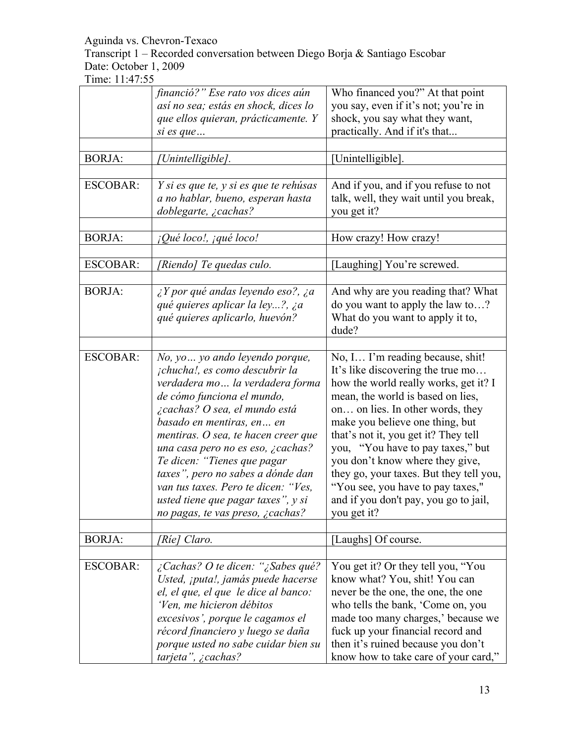Transcript 1 – Recorded conversation between Diego Borja & Santiago Escobar Date: October 1, 2009

|                 | financió?" Ese rato vos dices aún<br>así no sea; estás en shock, dices lo                                                                                                                                                                                                                                                                                                                                                                                          | Who financed you?" At that point<br>you say, even if it's not; you're in                                                                                                                                                                                                                                                                                                                                                                                                           |
|-----------------|--------------------------------------------------------------------------------------------------------------------------------------------------------------------------------------------------------------------------------------------------------------------------------------------------------------------------------------------------------------------------------------------------------------------------------------------------------------------|------------------------------------------------------------------------------------------------------------------------------------------------------------------------------------------------------------------------------------------------------------------------------------------------------------------------------------------------------------------------------------------------------------------------------------------------------------------------------------|
|                 | que ellos quieran, prácticamente. Y<br>si es que                                                                                                                                                                                                                                                                                                                                                                                                                   | shock, you say what they want,<br>practically. And if it's that                                                                                                                                                                                                                                                                                                                                                                                                                    |
|                 |                                                                                                                                                                                                                                                                                                                                                                                                                                                                    |                                                                                                                                                                                                                                                                                                                                                                                                                                                                                    |
| <b>BORJA:</b>   | Unintelligible].                                                                                                                                                                                                                                                                                                                                                                                                                                                   | Unintelligible].                                                                                                                                                                                                                                                                                                                                                                                                                                                                   |
|                 |                                                                                                                                                                                                                                                                                                                                                                                                                                                                    |                                                                                                                                                                                                                                                                                                                                                                                                                                                                                    |
| <b>ESCOBAR:</b> | Y si es que te, y si es que te rehúsas<br>a no hablar, bueno, esperan hasta<br>doblegarte, ¿cachas?                                                                                                                                                                                                                                                                                                                                                                | And if you, and if you refuse to not<br>talk, well, they wait until you break,<br>you get it?                                                                                                                                                                                                                                                                                                                                                                                      |
|                 |                                                                                                                                                                                                                                                                                                                                                                                                                                                                    |                                                                                                                                                                                                                                                                                                                                                                                                                                                                                    |
| <b>BORJA:</b>   | <i>iQué loco!, jqué loco!</i>                                                                                                                                                                                                                                                                                                                                                                                                                                      | How crazy! How crazy!                                                                                                                                                                                                                                                                                                                                                                                                                                                              |
|                 |                                                                                                                                                                                                                                                                                                                                                                                                                                                                    |                                                                                                                                                                                                                                                                                                                                                                                                                                                                                    |
| <b>ESCOBAR:</b> | (Riendo) Te quedas culo.                                                                                                                                                                                                                                                                                                                                                                                                                                           | [Laughing] You're screwed.                                                                                                                                                                                                                                                                                                                                                                                                                                                         |
| <b>BORJA:</b>   | $\lambda$ Y por qué andas leyendo eso?, $\lambda$ a<br>qué quieres aplicar la ley?, ¿a<br>qué quieres aplicarlo, huevón?                                                                                                                                                                                                                                                                                                                                           | And why are you reading that? What<br>do you want to apply the law to?<br>What do you want to apply it to,<br>dude?                                                                                                                                                                                                                                                                                                                                                                |
|                 |                                                                                                                                                                                                                                                                                                                                                                                                                                                                    |                                                                                                                                                                                                                                                                                                                                                                                                                                                                                    |
| <b>ESCOBAR:</b> | No, yo  yo ando leyendo porque,<br>¡chucha!, es como descubrir la<br>verdadera mo la verdadera forma<br>de cómo funciona el mundo,<br>¿cachas? O sea, el mundo está<br>basado en mentiras, en  en<br>mentiras. O sea, te hacen creer que<br>una casa pero no es eso, ¿cachas?<br>Te dicen: "Tienes que pagar<br>taxes", pero no sabes a dónde dan<br>van tus taxes. Pero te dicen: "Ves,<br>usted tiene que pagar taxes", y si<br>no pagas, te vas preso, ¿cachas? | No, I I'm reading because, shit!<br>It's like discovering the true mo<br>how the world really works, get it? I<br>mean, the world is based on lies,<br>on on lies. In other words, they<br>make you believe one thing, but<br>that's not it, you get it? They tell<br>you, "You have to pay taxes," but<br>you don't know where they give,<br>they go, your taxes. But they tell you,<br>"You see, you have to pay taxes,"<br>and if you don't pay, you go to jail,<br>you get it? |
| <b>BORJA:</b>   | [Ríe] Claro.                                                                                                                                                                                                                                                                                                                                                                                                                                                       | [Laughs] Of course.                                                                                                                                                                                                                                                                                                                                                                                                                                                                |
|                 |                                                                                                                                                                                                                                                                                                                                                                                                                                                                    |                                                                                                                                                                                                                                                                                                                                                                                                                                                                                    |
| <b>ESCOBAR:</b> | ¿Cachas? O te dicen: "¿Sabes qué?<br>Usted, ¡puta!, jamás puede hacerse<br>el, el que, el que le dice al banco:<br>'Ven, me hicieron débitos<br>excesivos', porque le cagamos el<br>récord financiero y luego se daña<br>porque usted no sabe cuidar bien su<br>tarjeta", ¿cachas?                                                                                                                                                                                 | You get it? Or they tell you, "You<br>know what? You, shit! You can<br>never be the one, the one, the one<br>who tells the bank, 'Come on, you<br>made too many charges,' because we<br>fuck up your financial record and<br>then it's ruined because you don't<br>know how to take care of your card,"                                                                                                                                                                            |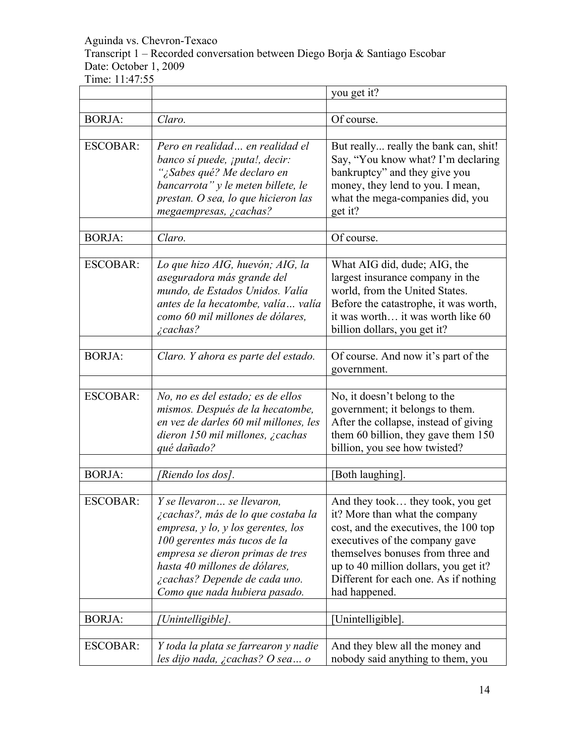Transcript 1 – Recorded conversation between Diego Borja & Santiago Escobar Date: October 1, 2009

|                 |                                                                                                                                                                                                                                                                               | you get it?                                                                                                                                                                                                                                                                           |
|-----------------|-------------------------------------------------------------------------------------------------------------------------------------------------------------------------------------------------------------------------------------------------------------------------------|---------------------------------------------------------------------------------------------------------------------------------------------------------------------------------------------------------------------------------------------------------------------------------------|
| <b>BORJA:</b>   | Claro.                                                                                                                                                                                                                                                                        | Of course.                                                                                                                                                                                                                                                                            |
| <b>ESCOBAR:</b> | Pero en realidad en realidad el<br>banco sí puede, <i>iputa!</i> , decir:<br>"¿Sabes qué? Me declaro en<br>bancarrota" y le meten billete, le<br>prestan. O sea, lo que hicieron las<br>megaempresas, ¿cachas?                                                                | But really really the bank can, shit!<br>Say, "You know what? I'm declaring<br>bankruptcy" and they give you<br>money, they lend to you. I mean,<br>what the mega-companies did, you<br>get it?                                                                                       |
| <b>BORJA:</b>   | Claro.                                                                                                                                                                                                                                                                        | Of course.                                                                                                                                                                                                                                                                            |
| <b>ESCOBAR:</b> | Lo que hizo AIG, huevón; AIG, la<br>aseguradora más grande del<br>mundo, de Estados Unidos. Valía<br>antes de la hecatombe, valía valía<br>como 60 mil millones de dólares.<br>$\zeta$ cachas?                                                                                | What AIG did, dude; AIG, the<br>largest insurance company in the<br>world, from the United States.<br>Before the catastrophe, it was worth,<br>it was worth it was worth like 60<br>billion dollars, you get it?                                                                      |
| <b>BORJA:</b>   | Claro. Y ahora es parte del estado.                                                                                                                                                                                                                                           | Of course. And now it's part of the<br>government.                                                                                                                                                                                                                                    |
| <b>ESCOBAR:</b> | No, no es del estado; es de ellos<br>mismos. Después de la hecatombe,<br>en vez de darles 60 mil millones, les<br>dieron 150 mil millones, ¿cachas<br>qué dañado?                                                                                                             | No, it doesn't belong to the<br>government; it belongs to them.<br>After the collapse, instead of giving<br>them 60 billion, they gave them 150<br>billion, you see how twisted?                                                                                                      |
| <b>BORJA:</b>   | [Riendo los dos].                                                                                                                                                                                                                                                             | [Both laughing].                                                                                                                                                                                                                                                                      |
| <b>ESCOBAR:</b> | Y se llevaron se llevaron,<br>¿cachas?, más de lo que costaba la<br>empresa, y lo, y los gerentes, los<br>100 gerentes más tucos de la<br>empresa se dieron primas de tres<br>hasta 40 millones de dólares.<br>¿cachas? Depende de cada uno.<br>Como que nada hubiera pasado. | And they took they took, you get<br>it? More than what the company<br>cost, and the executives, the 100 top<br>executives of the company gave<br>themselves bonuses from three and<br>up to 40 million dollars, you get it?<br>Different for each one. As if nothing<br>had happened. |
| <b>BORJA:</b>   | [Unintelligible].                                                                                                                                                                                                                                                             | [Unintelligible].                                                                                                                                                                                                                                                                     |
| <b>ESCOBAR:</b> | Y toda la plata se farrearon y nadie<br>les dijo nada, ¿cachas? O sea o                                                                                                                                                                                                       | And they blew all the money and<br>nobody said anything to them, you                                                                                                                                                                                                                  |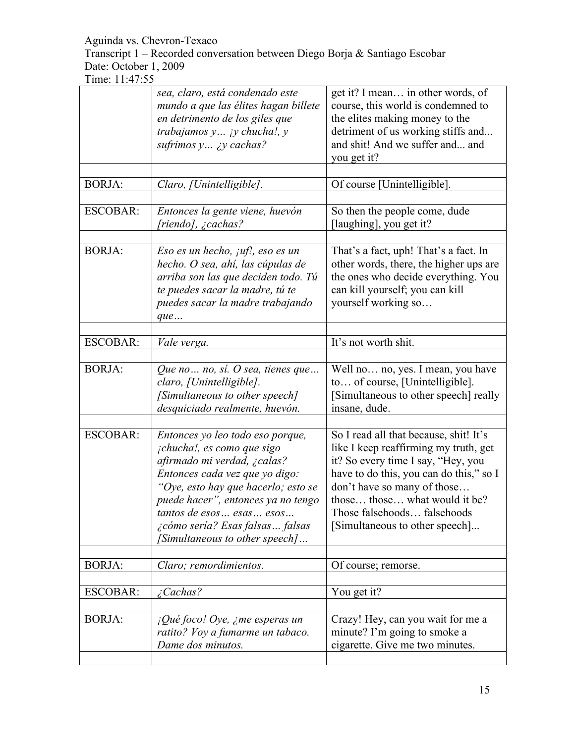Transcript 1 – Recorded conversation between Diego Borja & Santiago Escobar Date: October 1, 2009

|                 | sea, claro, está condenado este<br>mundo a que las élites hagan billete<br>en detrimento de los giles que<br>trabajamos $y$ jy chucha!, y<br>sufrimos y ¿y cachas?                                                                                                                                             | get it? I mean in other words, of<br>course, this world is condemned to<br>the elites making money to the<br>detriment of us working stiffs and<br>and shit! And we suffer and and<br>you get it?                                                                                                 |
|-----------------|----------------------------------------------------------------------------------------------------------------------------------------------------------------------------------------------------------------------------------------------------------------------------------------------------------------|---------------------------------------------------------------------------------------------------------------------------------------------------------------------------------------------------------------------------------------------------------------------------------------------------|
| <b>BORJA:</b>   | Claro, [Unintelligible].                                                                                                                                                                                                                                                                                       | Of course [Unintelligible].                                                                                                                                                                                                                                                                       |
| <b>ESCOBAR:</b> | Entonces la gente viene, huevón<br>[riendo], ¿cachas?                                                                                                                                                                                                                                                          | So then the people come, dude<br>[laughing], you get it?                                                                                                                                                                                                                                          |
| <b>BORJA:</b>   | Eso es un hecho, $juf!$ , eso es un<br>hecho. O sea, ahí, las cúpulas de<br>arriba son las que deciden todo. Tú<br>te puedes sacar la madre, tú te<br>puedes sacar la madre trabajando<br>que                                                                                                                  | That's a fact, uph! That's a fact. In<br>other words, there, the higher ups are<br>the ones who decide everything. You<br>can kill yourself; you can kill<br>yourself working so                                                                                                                  |
| <b>ESCOBAR:</b> | Vale verga.                                                                                                                                                                                                                                                                                                    | It's not worth shit.                                                                                                                                                                                                                                                                              |
| <b>BORJA:</b>   | Que no  no, sí. O sea, tienes que<br>claro, [Unintelligible].<br>[Simultaneous to other speech]<br>desquiciado realmente, huevón.                                                                                                                                                                              | Well no no, yes. I mean, you have<br>to of course, [Unintelligible].<br>[Simultaneous to other speech] really<br>insane, dude.                                                                                                                                                                    |
| <b>ESCOBAR:</b> | Entonces yo leo todo eso porque,<br>¡chucha!, es como que sigo<br>afirmado mi verdad, ¿calas?<br>Entonces cada vez que yo digo:<br>"Oye, esto hay que hacerlo; esto se<br>puede hacer", entonces ya no tengo<br>tantos de esos esas esos<br>¿cómo sería? Esas falsas  falsas<br>[Simultaneous to other speech] | So I read all that because, shit! It's<br>like I keep reaffirming my truth, get<br>it? So every time I say, "Hey, you<br>have to do this, you can do this," so I<br>don't have so many of those<br>those those what would it be?<br>Those falsehoods falsehoods<br>[Simultaneous to other speech] |
| <b>BORJA:</b>   | Claro; remordimientos.                                                                                                                                                                                                                                                                                         | Of course; remorse.                                                                                                                                                                                                                                                                               |
| <b>ESCOBAR:</b> | <i>i</i> Cachas?                                                                                                                                                                                                                                                                                               | You get it?                                                                                                                                                                                                                                                                                       |
| <b>BORJA:</b>   | $i$ Qué foco! Oye, ¿me esperas un<br>ratito? Voy a fumarme un tabaco.<br>Dame dos minutos.                                                                                                                                                                                                                     | Crazy! Hey, can you wait for me a<br>minute? I'm going to smoke a<br>cigarette. Give me two minutes.                                                                                                                                                                                              |